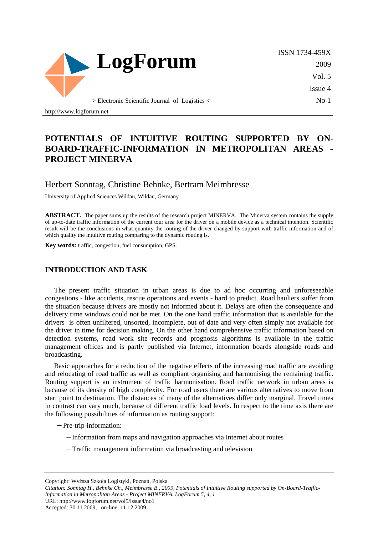

ISSN 1734-459X 2009 Vol. 5 Issue 4 No 1

> Electronic Scientific Journal of Logistics <

http://www.logforum.net

# **POTENTIALS OF INTUITIVE ROUTING SUPPORTED BY ON-BOARD-TRAFFIC-INFORMATION IN METROPOLITAN AREAS - PROJECT MINERVA**

### Herbert Sonntag, Christine Behnke, Bertram Meimbresse

University of Applied Sciences Wildau, Wildau, Germany

**ABSTRACT.** The paper sums up the results of the research project MINERVA. The Minerva system contains the supply of up-to-date traffic information of the current tour area for the driver on a mobile device as a technical intention. Scientific result will be the conclusions in what quantity the routing of the driver changed by support with traffic information and of which quality the intuitive routing comparing to the dynamic routing is.

**Key words:** traffic, congestion, fuel consumption, GPS.

#### **INTRODUCTION AND TASK**

The present traffic situation in urban areas is due to ad hoc occurring and unforeseeable congestions - like accidents, rescue operations and events - hard to predict. Road hauliers suffer from the situation because drivers are mostly not informed about it. Delays are often the consequence and delivery time windows could not be met. On the one hand traffic information that is available for the drivers is often unfiltered, unsorted, incomplete, out of date and very often simply not available for the driver in time for decision making. On the other hand comprehensive traffic information based on detection systems, road work site records and prognosis algorithms is available in the traffic management offices and is partly published via Internet, information boards alongside roads and broadcasting.

Basic approaches for a reduction of the negative effects of the increasing road traffic are avoiding and relocating of road traffic as well as compliant organising and harmonising the remaining traffic. Routing support is an instrument of traffic harmonisation. Road traffic network in urban areas is because of its density of high complexity. For road users there are various alternatives to move from start point to destination. The distances of many of the alternatives differ only marginal. Travel times in contrast can vary much, because of different traffic load levels. In respect to the time axis there are the following possibilities of information as routing support:

- − Pre-trip-information:
	- − Information from maps and navigation approaches via Internet about routes
	- − Traffic management information via broadcasting and television

Copyright: Wyższa Szkoła Logistyki, Poznań, Polska

URL: http://www.logforum.net/vol5/issue4/no1

Accepted: 30.11.2009, on-line: 11.12.2009.

*Citation: Sonntag H., Behnke Ch., Meimbresse B., 2009, Potentials of Intuitive Routing supported by On-Board-Traffic-Information in Metropolitan Areas - Project MINERVA. LogForum 5, 4, 1*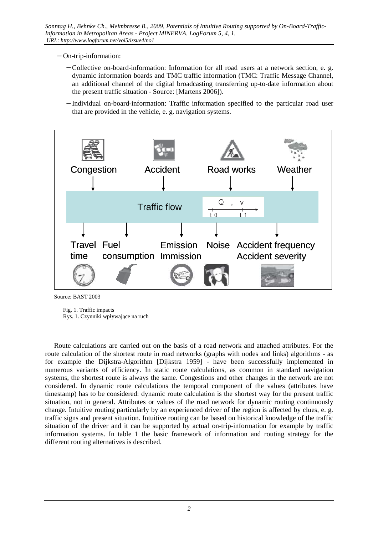- − On-trip-information:
	- − Collective on-board-information: Information for all road users at a network section, e. g. dynamic information boards and TMC traffic information (TMC: Traffic Message Channel, an additional channel of the digital broadcasting transferring up-to-date information about the present traffic situation - Source: [Martens 2006]).
	- − Individual on-board-information: Traffic information specified to the particular road user that are provided in the vehicle, e. g. navigation systems.



Source: BAST 2003

 Fig. 1. Traffic impacts Rys. 1. Czynniki wpływające na ruch

Route calculations are carried out on the basis of a road network and attached attributes. For the route calculation of the shortest route in road networks (graphs with nodes and links) algorithms - as for example the Dijkstra-Algorithm [Dijkstra 1959] - have been successfully implemented in numerous variants of efficiency. In static route calculations, as common in standard navigation systems, the shortest route is always the same. Congestions and other changes in the network are not considered. In dynamic route calculations the temporal component of the values (attributes have timestamp) has to be considered: dynamic route calculation is the shortest way for the present traffic situation, not in general. Attributes or values of the road network for dynamic routing continuously change. Intuitive routing particularly by an experienced driver of the region is affected by clues, e. g. traffic signs and present situation. Intuitive routing can be based on historical knowledge of the traffic situation of the driver and it can be supported by actual on-trip-information for example by traffic information systems. In table 1 the basic framework of information and routing strategy for the different routing alternatives is described.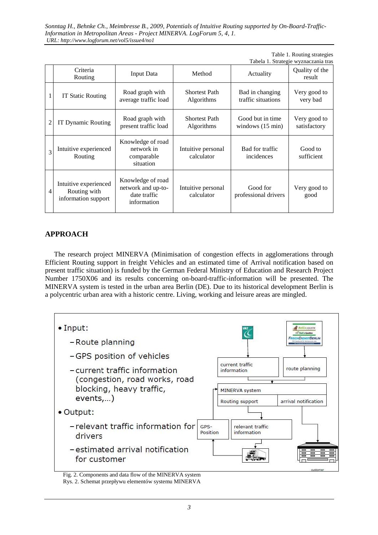Table 1. Routing strategies

|                |                                                              |                                                                        |                                    | Tabela 1. Strategie wyznaczania tras           |                              |
|----------------|--------------------------------------------------------------|------------------------------------------------------------------------|------------------------------------|------------------------------------------------|------------------------------|
|                | Criteria<br>Routing                                          | <b>Input Data</b>                                                      | Method                             | Actuality                                      | Quality of the<br>result     |
|                | IT Static Routing                                            | Road graph with<br>average traffic load                                | <b>Shortest Path</b><br>Algorithms | Bad in changing<br>traffic situations          | Very good to<br>very bad     |
| $\overline{2}$ | IT Dynamic Routing                                           | Road graph with<br>present traffic load                                | <b>Shortest Path</b><br>Algorithms | Good but in time<br>windows $(15 \text{ min})$ | Very good to<br>satisfactory |
| $\overline{3}$ | Intuitive experienced<br>Routing                             | Knowledge of road<br>network in<br>comparable<br>situation             | Intuitive personal<br>calculator   | Bad for traffic<br>incidences                  | Good to<br>sufficient        |
| 4              | Intuitive experienced<br>Routing with<br>information support | Knowledge of road<br>network and up-to-<br>date traffic<br>information | Intuitive personal<br>calculator   | Good for<br>professional drivers               | Very good to<br>good         |

### **APPROACH**

The research project MINERVA (Minimisation of congestion effects in agglomerations through Efficient Routing support in freight Vehicles and an estimated time of Arrival notification based on present traffic situation) is funded by the German Federal Ministry of Education and Research Project Number 1750X06 and its results concerning on-board-traffic-information will be presented. The MINERVA system is tested in the urban area Berlin (DE). Due to its historical development Berlin is a polycentric urban area with a historic centre. Living, working and leisure areas are mingled.



Fig. 2. Components and data flow of the MINERVA system Rys. 2. Schemat przepływu elementów systemu MINERVA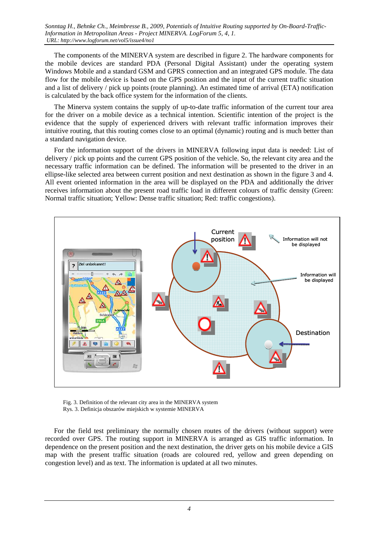The components of the MINERVA system are described in figure 2. The hardware components for the mobile devices are standard PDA (Personal Digital Assistant) under the operating system Windows Mobile and a standard GSM and GPRS connection and an integrated GPS module. The data flow for the mobile device is based on the GPS position and the input of the current traffic situation and a list of delivery / pick up points (route planning). An estimated time of arrival (ETA) notification is calculated by the back office system for the information of the clients.

The Minerva system contains the supply of up-to-date traffic information of the current tour area for the driver on a mobile device as a technical intention. Scientific intention of the project is the evidence that the supply of experienced drivers with relevant traffic information improves their intuitive routing, that this routing comes close to an optimal (dynamic) routing and is much better than a standard navigation device.

For the information support of the drivers in MINERVA following input data is needed: List of delivery / pick up points and the current GPS position of the vehicle. So, the relevant city area and the necessary traffic information can be defined. The information will be presented to the driver in an ellipse-like selected area between current position and next destination as shown in the figure 3 and 4. All event oriented information in the area will be displayed on the PDA and additionally the driver receives information about the present road traffic load in different colours of traffic density (Green: Normal traffic situation; Yellow: Dense traffic situation; Red: traffic congestions).



 Fig. 3. Definition of the relevant city area in the MINERVA system Rys. 3. Definicja obszarów miejskich w systemie MINERVA

For the field test preliminary the normally chosen routes of the drivers (without support) were recorded over GPS. The routing support in MINERVA is arranged as GIS traffic information. In dependence on the present position and the next destination, the driver gets on his mobile device a GIS map with the present traffic situation (roads are coloured red, yellow and green depending on congestion level) and as text. The information is updated at all two minutes.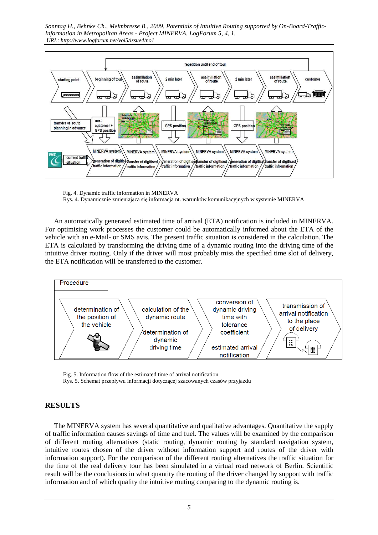

 Fig. 4. Dynamic traffic information in MINERVA Rys. 4. Dynamicznie zmieniająca się informacja nt. warunków komunikacyjnych w systemie MINERVA

An automatically generated estimated time of arrival (ETA) notification is included in MINERVA. For optimising work processes the customer could be automatically informed about the ETA of the vehicle with an e-Mail- or SMS avis. The present traffic situation is considered in the calculation. The ETA is calculated by transforming the driving time of a dynamic routing into the driving time of the intuitive driver routing. Only if the driver will most probably miss the specified time slot of delivery, the ETA notification will be transferred to the customer.



Fig. 5. Information flow of the estimated time of arrival notification

Rys. 5. Schemat przepływu informacji dotyczącej szacowanych czasów przyjazdu

### **RESULTS**

The MINERVA system has several quantitative and qualitative advantages. Quantitative the supply of traffic information causes savings of time and fuel. The values will be examined by the comparison of different routing alternatives (static routing, dynamic routing by standard navigation system, intuitive routes chosen of the driver without information support and routes of the driver with information support). For the comparison of the different routing alternatives the traffic situation for the time of the real delivery tour has been simulated in a virtual road network of Berlin. Scientific result will be the conclusions in what quantity the routing of the driver changed by support with traffic information and of which quality the intuitive routing comparing to the dynamic routing is.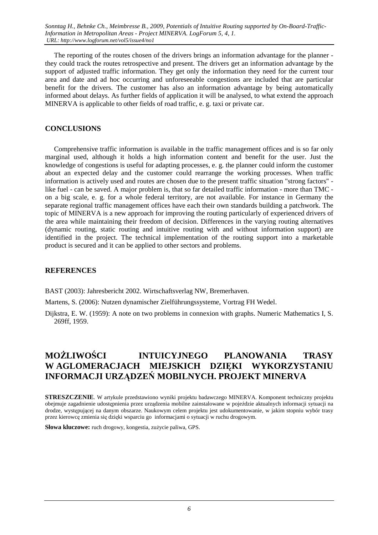The reporting of the routes chosen of the drivers brings an information advantage for the planner they could track the routes retrospective and present. The drivers get an information advantage by the support of adjusted traffic information. They get only the information they need for the current tour area and date and ad hoc occurring and unforeseeable congestions are included that are particular benefit for the drivers. The customer has also an information advantage by being automatically informed about delays. As further fields of application it will be analysed, to what extend the approach MINERVA is applicable to other fields of road traffic, e. g. taxi or private car.

### **CONCLUSIONS**

Comprehensive traffic information is available in the traffic management offices and is so far only marginal used, although it holds a high information content and benefit for the user. Just the knowledge of congestions is useful for adapting processes, e. g. the planner could inform the customer about an expected delay and the customer could rearrange the working processes. When traffic information is actively used and routes are chosen due to the present traffic situation "strong factors" like fuel - can be saved. A major problem is, that so far detailed traffic information - more than TMC on a big scale, e. g. for a whole federal territory, are not available. For instance in Germany the separate regional traffic management offices have each their own standards building a patchwork. The topic of MINERVA is a new approach for improving the routing particularly of experienced drivers of the area while maintaining their freedom of decision. Differences in the varying routing alternatives (dynamic routing, static routing and intuitive routing with and without information support) are identified in the project. The technical implementation of the routing support into a marketable product is secured and it can be applied to other sectors and problems.

### **REFERENCES**

BAST (2003): Jahresbericht 2002. Wirtschaftsverlag NW, Bremerhaven.

Martens, S. (2006): Nutzen dynamischer Zielführungssysteme, Vortrag FH Wedel.

Dijkstra, E. W. (1959): A note on two problems in connexion with graphs. Numeric Mathematics I, S. 269ff, 1959.

# **MOśLIWOŚCI INTUICYJNEGO PLANOWANIA TRASY W AGLOMERACJACH MIEJSKICH DZIĘKI WYKORZYSTANIU INFORMACJI URZĄDZEŃ MOBILNYCH. PROJEKT MINERVA**

**STRESZCZENIE**. W artykule przedstawiono wyniki projektu badawczego MINERVA. Komponent techniczny projektu obejmuje zagadnienie udostępnienia przez urządzenia mobilne zainstalowane w pojeździe aktualnych informacji sytuacji na drodze, występującej na danym obszarze. Naukowym celem projektu jest udokumentowanie, w jakim stopniu wybór trasy przez kierowcę zmienia się dzięki wsparciu go informacjami o sytuacji w ruchu drogowym.

Słowa kluczowe: ruch drogowy, kongestia, zużycie paliwa, GPS.